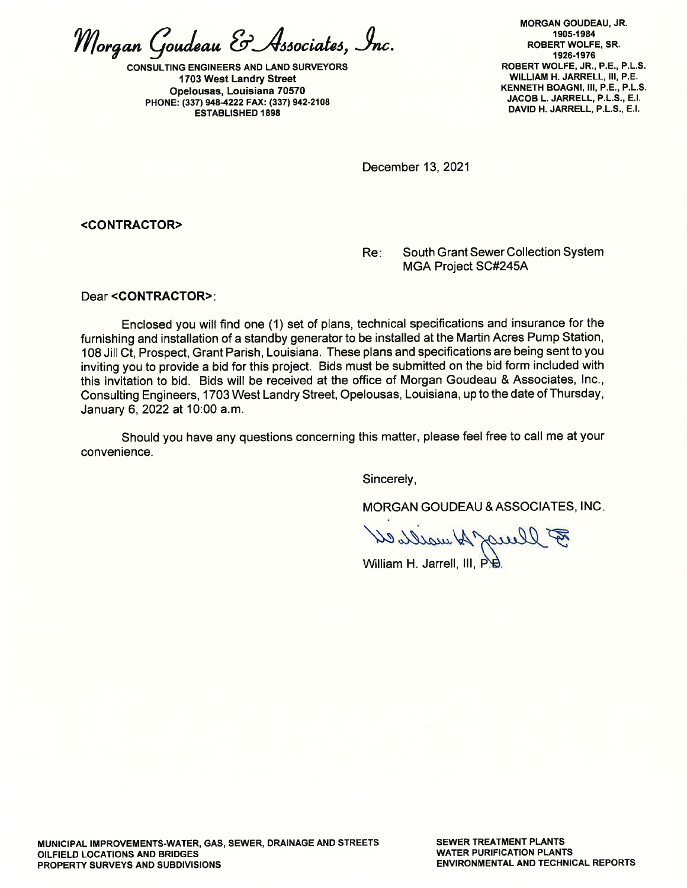Morgan Goudeau & Associates, Inc.

CONSULTING ENGINEERS AND LAND SURVEYORS 1703 West Landry Street Opelousas, Louisiana 70570 PHONE: (33719484222 FAX: (337) 942-2108 ESTABLISHED 1898

MORGAN GOUDEAU, JR, <sup>1</sup>90s-1 984 ROBERTWOLFE, SR. 1926-1976 ROBERT WOLFE, JR., P.E., P.L,S. WILLIAM H. JARRELL, III, P.E. KENNETH BOAGNI, III, P.E., P.L.S. JACOB L, JARRELL, P.L,S., E.I. DAVID H. JARRELL, P.L.S., E.I.

December 13, 2021

<CONTRACTOR>

Re: South Grant Sewer Collection System MGA Project SC#245A

Dear <CONTRACTOR>

Enclosed you will find one (1) set of plans, technical specifications and insurance for the furnishing and installation of a standby generator to be installed at the Martin Acres Pump Station, 108 Jill Ct, Prospect, Grant Parish, Louisiana. These plans and specifications are being sent to you inviting you to provide a bid for this project. Bids must be submitted on the bid form included with this invitation to bid. Bids will be received at the office of Morgan Goudeau & Associates, lnc., Consulting Engineers, 1703 West Landry Street, Opelousas, Louisiana, up to the date of Thursday, January 6,2022 at 10:00 a.m.

Should you have any questions concerning this matter, please feel free to call me at your convenience.

Sincerely,

MORGAN GOUDEAU &ASSOCIATES, INC

B llumy A wall el

William H. Jarrell, III, P.B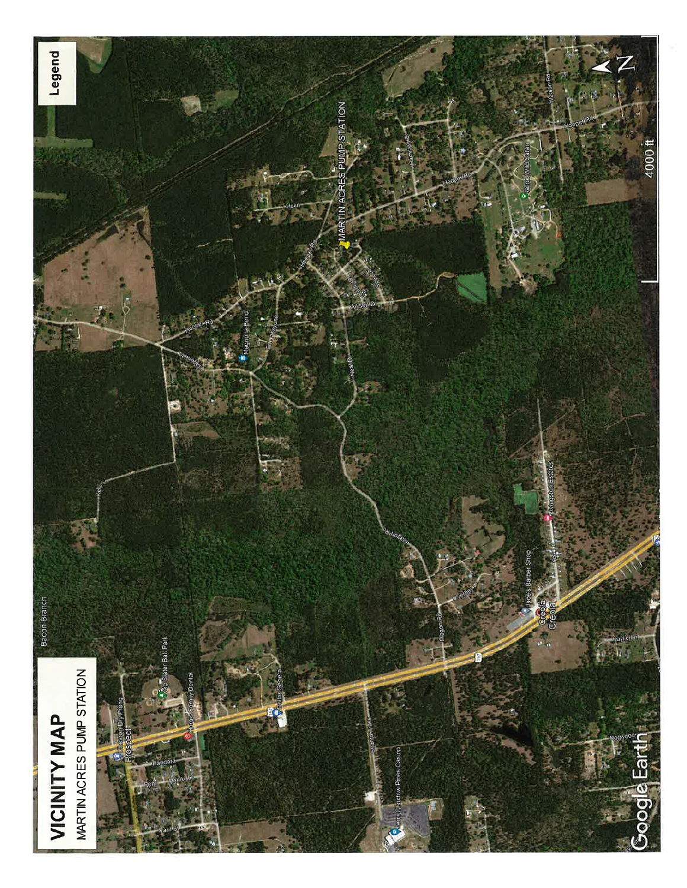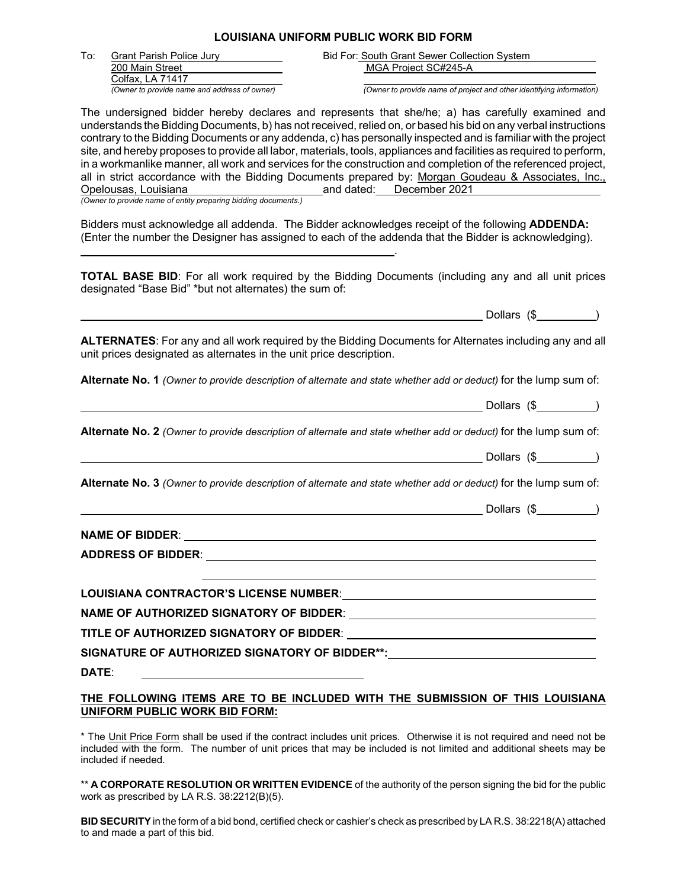#### **LOUISIANA UNIFORM PUBLIC WORK BID FORM**

| To: | <b>Grant Parish Police Jury</b>              |
|-----|----------------------------------------------|
|     | 200 Main Street                              |
|     | Colfax, LA 71417                             |
|     | (Owner to provide name and address of owner) |

Bid For: South Grant Sewer Collection System MGA Project SC#245-A

*(Owner to provide name of project and other identifying information)* 

The undersigned bidder hereby declares and represents that she/he; a) has carefully examined and understands the Bidding Documents, b) has not received, relied on, or based his bid on any verbal instructions contrary to the Bidding Documents or any addenda, c) has personally inspected and is familiar with the project site, and hereby proposes to provide all labor, materials, tools, appliances and facilities as required to perform, in a workmanlike manner, all work and services for the construction and completion of the referenced project, all in strict accordance with the Bidding Documents prepared by: Morgan Goudeau & Associates, Inc., Opelousas, Louisiana endeaver and dated: December 2021 Opelousas, Louisiana and Duckenber 2021

*(Owner to provide name of entity preparing bidding documents.)*

<u>. Andrew State Communication of the Communication of the Communication of the Communication of the Communication</u>

Bidders must acknowledge all addenda. The Bidder acknowledges receipt of the following **ADDENDA:** (Enter the number the Designer has assigned to each of the addenda that the Bidder is acknowledging).

**TOTAL BASE BID**: For all work required by the Bidding Documents (including any and all unit prices designated "Base Bid" \*but not alternates) the sum of:

Dollars (\$ )

**ALTERNATES**: For any and all work required by the Bidding Documents for Alternates including any and all unit prices designated as alternates in the unit price description.

**Alternate No. 1** *(Owner to provide description of alternate and state whether add or deduct)* for the lump sum of:

Dollars (\$ )

**Alternate No. 2** *(Owner to provide description of alternate and state whether add or deduct)* for the lump sum of:

|  |  | Dollars |  |  |
|--|--|---------|--|--|
|--|--|---------|--|--|

**Alternate No. 3** *(Owner to provide description of alternate and state whether add or deduct)* for the lump sum of:

 $\blacksquare$  Dollars  $(\$$   $\blacksquare$ 

**NAME OF BIDDER**: **ADDRESS OF BIDDER**:

**LOUISIANA CONTRACTOR'S LICENSE NUMBER**: **NAME OF AUTHORIZED SIGNATORY OF BIDDER**: **TITLE OF AUTHORIZED SIGNATORY OF BIDDER**: **SIGNATURE OF AUTHORIZED SIGNATORY OF BIDDER\*\*: DATE**:

#### **THE FOLLOWING ITEMS ARE TO BE INCLUDED WITH THE SUBMISSION OF THIS LOUISIANA UNIFORM PUBLIC WORK BID FORM:**

\* The Unit Price Form shall be used if the contract includes unit prices. Otherwise it is not required and need not be included with the form. The number of unit prices that may be included is not limited and additional sheets may be included if needed.

\*\* **A CORPORATE RESOLUTION OR WRITTEN EVIDENCE** of the authority of the person signing the bid for the public work as prescribed by LA R.S. 38:2212(B)(5).

**BID SECURITY** in the form of a bid bond, certified check or cashier's check as prescribed by LA R.S. 38:2218(A) attached to and made a part of this bid.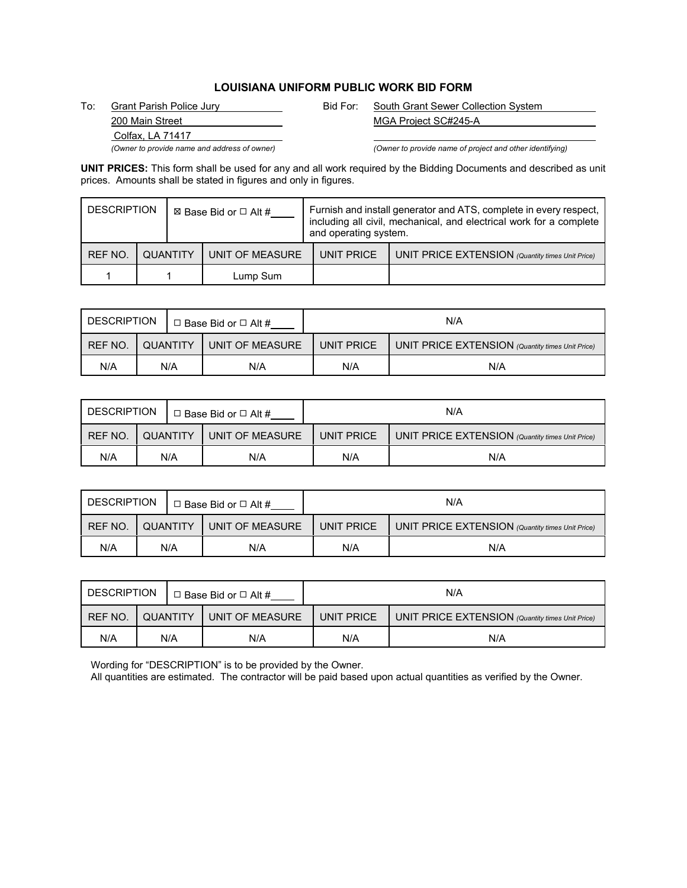### **LOUISIANA UNIFORM PUBLIC WORK BID FORM**

Colfax, LA 71417

To: Grant Parish Police Jury Bid For: South Grant Sewer Collection System 200 Main Street MGA Project SC#245-A

*(Owner to provide name and address of owner) (Owner to provide name of project and other identifying)*

**UNIT PRICES:** This form shall be used for any and all work required by the Bidding Documents and described as unit prices. Amounts shall be stated in figures and only in figures.

| <b>DESCRIPTION</b> |                 | ⊠ Base Bid or □ Alt # |                 | Furnish and install generator and ATS, complete in every respect,<br>including all civil, mechanical, and electrical work for a complete<br>and operating system. |            |                                                  |  |
|--------------------|-----------------|-----------------------|-----------------|-------------------------------------------------------------------------------------------------------------------------------------------------------------------|------------|--------------------------------------------------|--|
| <b>REF NO.</b>     | <b>QUANTITY</b> |                       | UNIT OF MEASURE |                                                                                                                                                                   | UNIT PRICE | UNIT PRICE EXTENSION (Quantity times Unit Price) |  |
|                    |                 |                       | Lump Sum        |                                                                                                                                                                   |            |                                                  |  |

| <b>DESCRIPTION</b> |                 |  | $\Box$ Base Bid or $\Box$ Alt # | N/A        |                                                  |  |  |  |
|--------------------|-----------------|--|---------------------------------|------------|--------------------------------------------------|--|--|--|
| REF NO.            | <b>QUANTITY</b> |  | UNIT OF MEASURE                 | UNIT PRICE | UNIT PRICE EXTENSION (Quantity times Unit Price) |  |  |  |
| N/A                | N/A             |  | N/A                             | N/A        | N/A                                              |  |  |  |

| DESCRIPTION |          |  | $\Box$ Base Bid or $\Box$ Alt # | N/A        |                                                  |  |  |  |
|-------------|----------|--|---------------------------------|------------|--------------------------------------------------|--|--|--|
| REF NO.     | QUANTITY |  | UNIT OF MEASURE                 | UNIT PRICE | UNIT PRICE EXTENSION (Quantity times Unit Price) |  |  |  |
| N/A         | N/A      |  | N/A                             | N/A        | N/A                                              |  |  |  |

| <b>DESCRIPTION</b> |                 |  | $\Box$ Base Bid or $\Box$ Alt # | N/A        |                                                  |  |  |
|--------------------|-----------------|--|---------------------------------|------------|--------------------------------------------------|--|--|
| REF NO.            | <b>QUANTITY</b> |  | UNIT OF MEASURE                 | UNIT PRICE | UNIT PRICE EXTENSION (Quantity times Unit Price) |  |  |
| N/A                | N/A             |  | N/A                             | N/A        | N/A                                              |  |  |

| <b>DESCRIPTION</b> |          |     | $\Box$ Base Bid or $\Box$ Alt # | N/A        |                                                  |  |
|--------------------|----------|-----|---------------------------------|------------|--------------------------------------------------|--|
| REF NO.            | QUANTITY |     | UNIT OF MEASURE                 | UNIT PRICE | UNIT PRICE EXTENSION (Quantity times Unit Price) |  |
| N/A                |          | N/A | N/A                             | N/A        | N/A                                              |  |

Wording for "DESCRIPTION" is to be provided by the Owner.

All quantities are estimated. The contractor will be paid based upon actual quantities as verified by the Owner.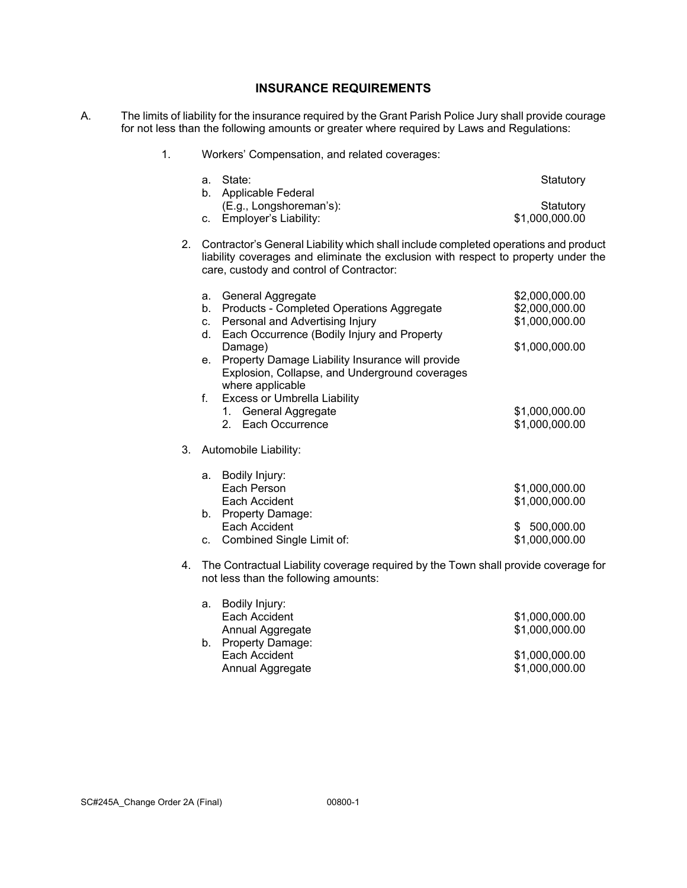### **INSURANCE REQUIREMENTS**

A. The limits of liability for the insurance required by the Grant Parish Police Jury shall provide courage for not less than the following amounts or greater where required by Laws and Regulations:

#### 1. Workers' Compensation, and related coverages:

| a. State:                | Statutory      |
|--------------------------|----------------|
| b. Applicable Federal    |                |
| (E.g., Longshoreman's):  | Statutory      |
| c. Employer's Liability: | \$1,000,000.00 |

2. Contractor's General Liability which shall include completed operations and product liability coverages and eliminate the exclusion with respect to property under the care, custody and control of Contractor:

|    | a. | General Aggregate                                | \$2,000,000.00   |
|----|----|--------------------------------------------------|------------------|
|    | b. | Products - Completed Operations Aggregate        | \$2,000,000.00   |
|    | C. | Personal and Advertising Injury                  | \$1,000,000.00   |
|    | d. | Each Occurrence (Bodily Injury and Property      |                  |
|    |    | Damage)                                          | \$1,000,000.00   |
|    | е. | Property Damage Liability Insurance will provide |                  |
|    |    | Explosion, Collapse, and Underground coverages   |                  |
|    |    | where applicable                                 |                  |
|    | f. | <b>Excess or Umbrella Liability</b>              |                  |
|    |    | 1. General Aggregate                             | \$1,000,000.00   |
|    |    | Each Occurrence<br>$2^{\circ}$                   | \$1,000,000.00   |
|    |    |                                                  |                  |
| 3. |    | Automobile Liability:                            |                  |
|    |    |                                                  |                  |
|    | а. | Bodily Injury:                                   |                  |
|    |    | Each Person                                      | \$1,000,000.00   |
|    |    | Each Accident                                    | \$1,000,000.00   |
|    | b. | <b>Property Damage:</b>                          |                  |
|    |    | Each Accident                                    | 500,000.00<br>S. |
|    | C. | Combined Single Limit of:                        | \$1,000,000.00   |

4. The Contractual Liability coverage required by the Town shall provide coverage for not less than the following amounts:

| \$1,000,000.00 |
|----------------|
| \$1,000,000.00 |
|                |
| \$1,000,000.00 |
| \$1,000,000.00 |
|                |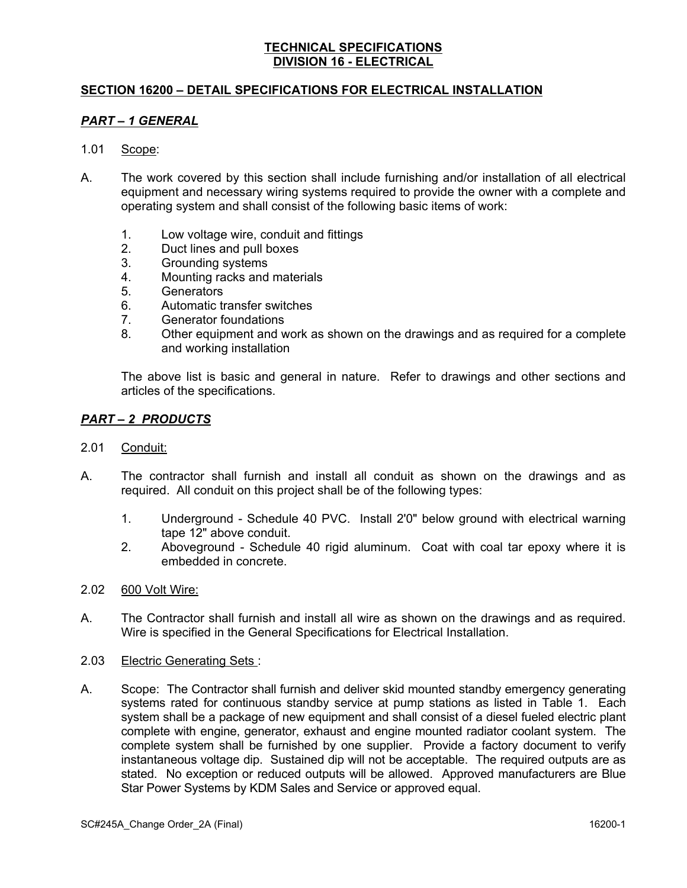## **SECTION 16200 – DETAIL SPECIFICATIONS FOR ELECTRICAL INSTALLATION**

### *PART – 1 GENERAL*

- 1.01 Scope:
- A. The work covered by this section shall include furnishing and/or installation of all electrical equipment and necessary wiring systems required to provide the owner with a complete and operating system and shall consist of the following basic items of work:
	- 1. Low voltage wire, conduit and fittings
	- 2. Duct lines and pull boxes
	- 3. Grounding systems
	- 4. Mounting racks and materials
	- 5. Generators
	- 6. Automatic transfer switches
	- 7. Generator foundations
	- 8. Other equipment and work as shown on the drawings and as required for a complete and working installation

The above list is basic and general in nature. Refer to drawings and other sections and articles of the specifications.

### *PART – 2 PRODUCTS*

- 2.01 Conduit:
- A. The contractor shall furnish and install all conduit as shown on the drawings and as required. All conduit on this project shall be of the following types:
	- 1. Underground Schedule 40 PVC. Install 2'0" below ground with electrical warning tape 12" above conduit.
	- 2. Aboveground Schedule 40 rigid aluminum. Coat with coal tar epoxy where it is embedded in concrete.
- 2.02 600 Volt Wire:
- A. The Contractor shall furnish and install all wire as shown on the drawings and as required. Wire is specified in the General Specifications for Electrical Installation.
- 2.03 Electric Generating Sets :
- A. Scope: The Contractor shall furnish and deliver skid mounted standby emergency generating systems rated for continuous standby service at pump stations as listed in Table 1. Each system shall be a package of new equipment and shall consist of a diesel fueled electric plant complete with engine, generator, exhaust and engine mounted radiator coolant system. The complete system shall be furnished by one supplier. Provide a factory document to verify instantaneous voltage dip. Sustained dip will not be acceptable. The required outputs are as stated. No exception or reduced outputs will be allowed. Approved manufacturers are Blue Star Power Systems by KDM Sales and Service or approved equal.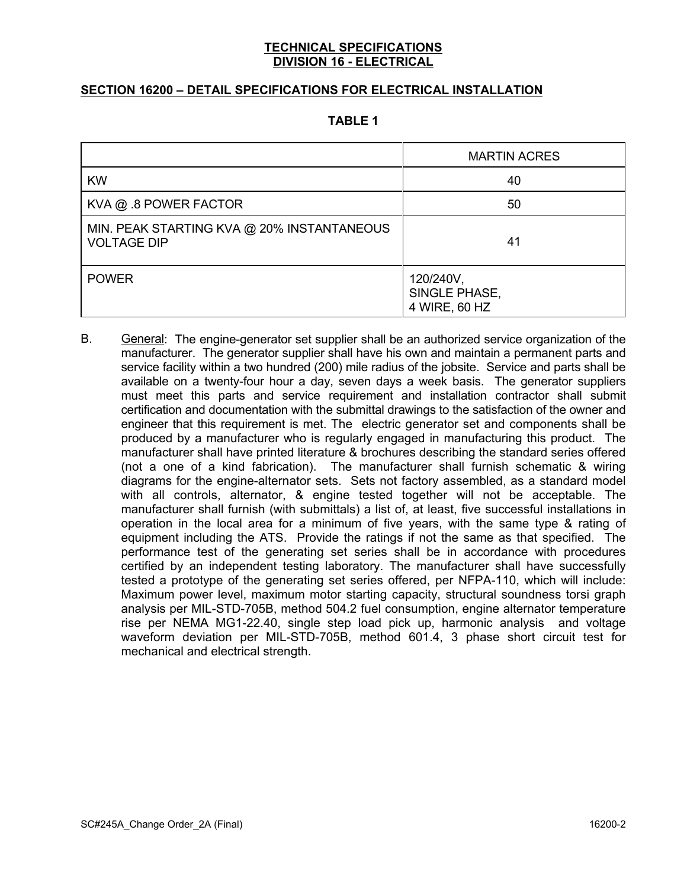## **SECTION 16200 – DETAIL SPECIFICATIONS FOR ELECTRICAL INSTALLATION**

#### **TABLE 1**

|                                                                  | <b>MARTIN ACRES</b>                         |
|------------------------------------------------------------------|---------------------------------------------|
| <b>KW</b>                                                        | 40                                          |
| KVA @ .8 POWER FACTOR                                            | 50                                          |
| MIN. PEAK STARTING KVA @ 20% INSTANTANEOUS<br><b>VOLTAGE DIP</b> | 41                                          |
| <b>POWER</b>                                                     | 120/240V,<br>SINGLE PHASE,<br>4 WIRE, 60 HZ |

B. General: The engine-generator set supplier shall be an authorized service organization of the manufacturer. The generator supplier shall have his own and maintain a permanent parts and service facility within a two hundred (200) mile radius of the jobsite. Service and parts shall be available on a twenty-four hour a day, seven days a week basis. The generator suppliers must meet this parts and service requirement and installation contractor shall submit certification and documentation with the submittal drawings to the satisfaction of the owner and engineer that this requirement is met. The electric generator set and components shall be produced by a manufacturer who is regularly engaged in manufacturing this product. The manufacturer shall have printed literature & brochures describing the standard series offered (not a one of a kind fabrication). The manufacturer shall furnish schematic & wiring diagrams for the engine-alternator sets. Sets not factory assembled, as a standard model with all controls, alternator, & engine tested together will not be acceptable. The manufacturer shall furnish (with submittals) a list of, at least, five successful installations in operation in the local area for a minimum of five years, with the same type & rating of equipment including the ATS. Provide the ratings if not the same as that specified. The performance test of the generating set series shall be in accordance with procedures certified by an independent testing laboratory. The manufacturer shall have successfully tested a prototype of the generating set series offered, per NFPA-110, which will include: Maximum power level, maximum motor starting capacity, structural soundness torsi graph analysis per MIL-STD-705B, method 504.2 fuel consumption, engine alternator temperature rise per NEMA MG1-22.40, single step load pick up, harmonic analysis and voltage waveform deviation per MIL-STD-705B, method 601.4, 3 phase short circuit test for mechanical and electrical strength.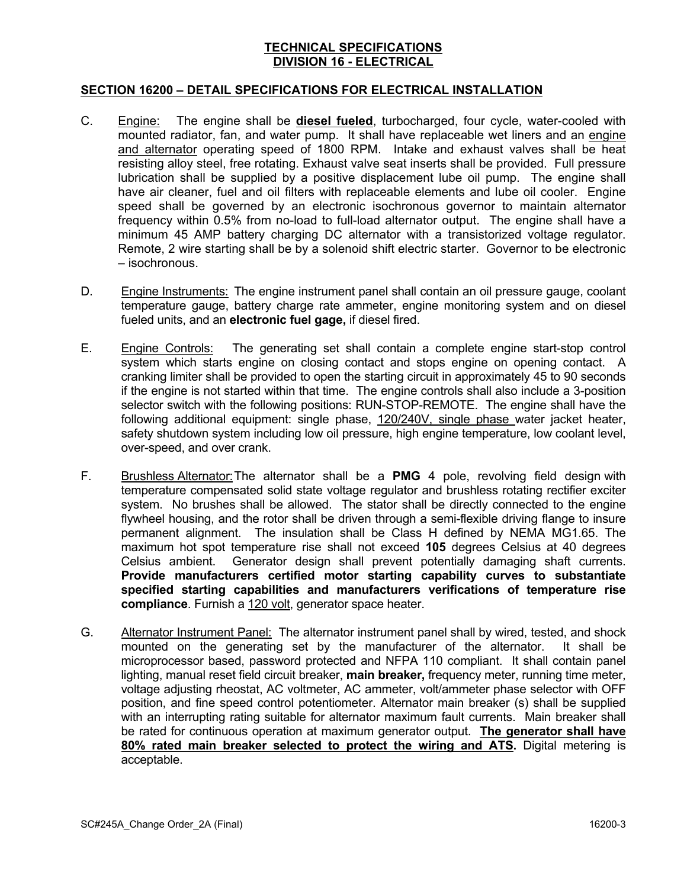### **SECTION 16200 – DETAIL SPECIFICATIONS FOR ELECTRICAL INSTALLATION**

- C. Engine: The engine shall be **diesel fueled**, turbocharged, four cycle, water-cooled with mounted radiator, fan, and water pump. It shall have replaceable wet liners and an engine and alternator operating speed of 1800 RPM. Intake and exhaust valves shall be heat resisting alloy steel, free rotating. Exhaust valve seat inserts shall be provided. Full pressure lubrication shall be supplied by a positive displacement lube oil pump. The engine shall have air cleaner, fuel and oil filters with replaceable elements and lube oil cooler. Engine speed shall be governed by an electronic isochronous governor to maintain alternator frequency within 0.5% from no-load to full-load alternator output. The engine shall have a minimum 45 AMP battery charging DC alternator with a transistorized voltage regulator. Remote, 2 wire starting shall be by a solenoid shift electric starter. Governor to be electronic – isochronous.
- D. Engine Instruments: The engine instrument panel shall contain an oil pressure gauge, coolant temperature gauge, battery charge rate ammeter, engine monitoring system and on diesel fueled units, and an **electronic fuel gage,** if diesel fired.
- E. Engine Controls: The generating set shall contain a complete engine start-stop control system which starts engine on closing contact and stops engine on opening contact. A cranking limiter shall be provided to open the starting circuit in approximately 45 to 90 seconds if the engine is not started within that time. The engine controls shall also include a 3-position selector switch with the following positions: RUN-STOP-REMOTE. The engine shall have the following additional equipment: single phase, 120/240V, single phase water jacket heater, safety shutdown system including low oil pressure, high engine temperature, low coolant level, over-speed, and over crank.
- F. Brushless Alternator:The alternator shall be a **PMG** 4 pole, revolving field design with temperature compensated solid state voltage regulator and brushless rotating rectifier exciter system. No brushes shall be allowed. The stator shall be directly connected to the engine flywheel housing, and the rotor shall be driven through a semi-flexible driving flange to insure permanent alignment. The insulation shall be Class H defined by NEMA MG1.65. The maximum hot spot temperature rise shall not exceed **105** degrees Celsius at 40 degrees Celsius ambient. Generator design shall prevent potentially damaging shaft currents. **Provide manufacturers certified motor starting capability curves to substantiate specified starting capabilities and manufacturers verifications of temperature rise compliance**. Furnish a 120 volt, generator space heater.
- G. Alternator Instrument Panel: The alternator instrument panel shall by wired, tested, and shock mounted on the generating set by the manufacturer of the alternator. It shall be microprocessor based, password protected and NFPA 110 compliant. It shall contain panel lighting, manual reset field circuit breaker, **main breaker,** frequency meter, running time meter, voltage adjusting rheostat, AC voltmeter, AC ammeter, volt/ammeter phase selector with OFF position, and fine speed control potentiometer. Alternator main breaker (s) shall be supplied with an interrupting rating suitable for alternator maximum fault currents. Main breaker shall be rated for continuous operation at maximum generator output. **The generator shall have 80% rated main breaker selected to protect the wiring and ATS.** Digital metering is acceptable.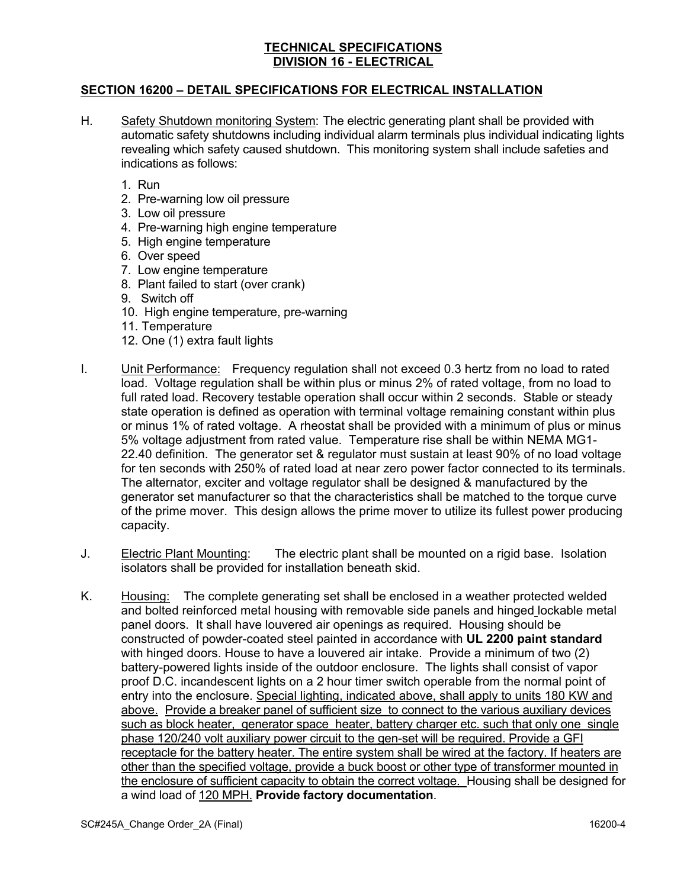## **SECTION 16200 – DETAIL SPECIFICATIONS FOR ELECTRICAL INSTALLATION**

- H. Safety Shutdown monitoring System: The electric generating plant shall be provided with automatic safety shutdowns including individual alarm terminals plus individual indicating lights revealing which safety caused shutdown. This monitoring system shall include safeties and indications as follows:
	- 1. Run
	- 2. Pre-warning low oil pressure
	- 3. Low oil pressure
	- 4. Pre-warning high engine temperature
	- 5. High engine temperature
	- 6. Over speed
	- 7. Low engine temperature
	- 8. Plant failed to start (over crank)
	- 9. Switch off
	- 10. High engine temperature, pre-warning
	- 11. Temperature
	- 12. One (1) extra fault lights
- I. Unit Performance: Frequency regulation shall not exceed 0.3 hertz from no load to rated load. Voltage regulation shall be within plus or minus 2% of rated voltage, from no load to full rated load. Recovery testable operation shall occur within 2 seconds. Stable or steady state operation is defined as operation with terminal voltage remaining constant within plus or minus 1% of rated voltage. A rheostat shall be provided with a minimum of plus or minus 5% voltage adjustment from rated value. Temperature rise shall be within NEMA MG1- 22.40 definition. The generator set & regulator must sustain at least 90% of no load voltage for ten seconds with 250% of rated load at near zero power factor connected to its terminals. The alternator, exciter and voltage regulator shall be designed & manufactured by the generator set manufacturer so that the characteristics shall be matched to the torque curve of the prime mover. This design allows the prime mover to utilize its fullest power producing capacity.
- J. Electric Plant Mounting: The electric plant shall be mounted on a rigid base. Isolation isolators shall be provided for installation beneath skid.
- K. Housing: The complete generating set shall be enclosed in a weather protected welded and bolted reinforced metal housing with removable side panels and hinged lockable metal panel doors. It shall have louvered air openings as required. Housing should be constructed of powder-coated steel painted in accordance with **UL 2200 paint standard** with hinged doors. House to have a louvered air intake. Provide a minimum of two (2) battery-powered lights inside of the outdoor enclosure. The lights shall consist of vapor proof D.C. incandescent lights on a 2 hour timer switch operable from the normal point of entry into the enclosure. Special lighting, indicated above, shall apply to units 180 KW and above. Provide a breaker panel of sufficient size to connect to the various auxiliary devices such as block heater, generator space heater, battery charger etc. such that only one single phase 120/240 volt auxiliary power circuit to the gen-set will be required. Provide a GFI receptacle for the battery heater. The entire system shall be wired at the factory. If heaters are other than the specified voltage, provide a buck boost or other type of transformer mounted in the enclosure of sufficient capacity to obtain the correct voltage. Housing shall be designed for a wind load of 120 MPH. **Provide factory documentation**.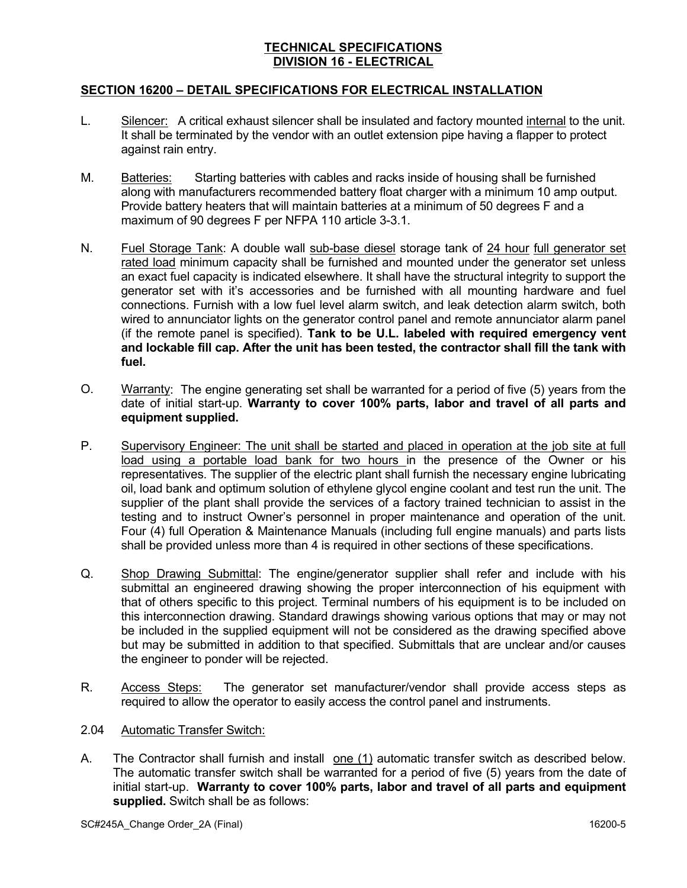## **SECTION 16200 – DETAIL SPECIFICATIONS FOR ELECTRICAL INSTALLATION**

- L. Silencer: A critical exhaust silencer shall be insulated and factory mounted internal to the unit. It shall be terminated by the vendor with an outlet extension pipe having a flapper to protect against rain entry.
- M. Batteries: Starting batteries with cables and racks inside of housing shall be furnished along with manufacturers recommended battery float charger with a minimum 10 amp output. Provide battery heaters that will maintain batteries at a minimum of 50 degrees F and a maximum of 90 degrees F per NFPA 110 article 3-3.1.
- N. Fuel Storage Tank: A double wall sub-base diesel storage tank of 24 hour full generator set rated load minimum capacity shall be furnished and mounted under the generator set unless an exact fuel capacity is indicated elsewhere. It shall have the structural integrity to support the generator set with it's accessories and be furnished with all mounting hardware and fuel connections. Furnish with a low fuel level alarm switch, and leak detection alarm switch, both wired to annunciator lights on the generator control panel and remote annunciator alarm panel (if the remote panel is specified). **Tank to be U.L. labeled with required emergency vent and lockable fill cap. After the unit has been tested, the contractor shall fill the tank with fuel.**
- O. Warranty: The engine generating set shall be warranted for a period of five (5) years from the date of initial start-up. **Warranty to cover 100% parts, labor and travel of all parts and equipment supplied.**
- P. Supervisory Engineer: The unit shall be started and placed in operation at the job site at full load using a portable load bank for two hours in the presence of the Owner or his representatives. The supplier of the electric plant shall furnish the necessary engine lubricating oil, load bank and optimum solution of ethylene glycol engine coolant and test run the unit. The supplier of the plant shall provide the services of a factory trained technician to assist in the testing and to instruct Owner's personnel in proper maintenance and operation of the unit. Four (4) full Operation & Maintenance Manuals (including full engine manuals) and parts lists shall be provided unless more than 4 is required in other sections of these specifications.
- Q. Shop Drawing Submittal: The engine/generator supplier shall refer and include with his submittal an engineered drawing showing the proper interconnection of his equipment with that of others specific to this project. Terminal numbers of his equipment is to be included on this interconnection drawing. Standard drawings showing various options that may or may not be included in the supplied equipment will not be considered as the drawing specified above but may be submitted in addition to that specified. Submittals that are unclear and/or causes the engineer to ponder will be rejected.
- R. Access Steps: The generator set manufacturer/vendor shall provide access steps as required to allow the operator to easily access the control panel and instruments.
- 2.04 Automatic Transfer Switch:
- A. The Contractor shall furnish and install one (1) automatic transfer switch as described below. The automatic transfer switch shall be warranted for a period of five (5) years from the date of initial start-up. **Warranty to cover 100% parts, labor and travel of all parts and equipment supplied.** Switch shall be as follows: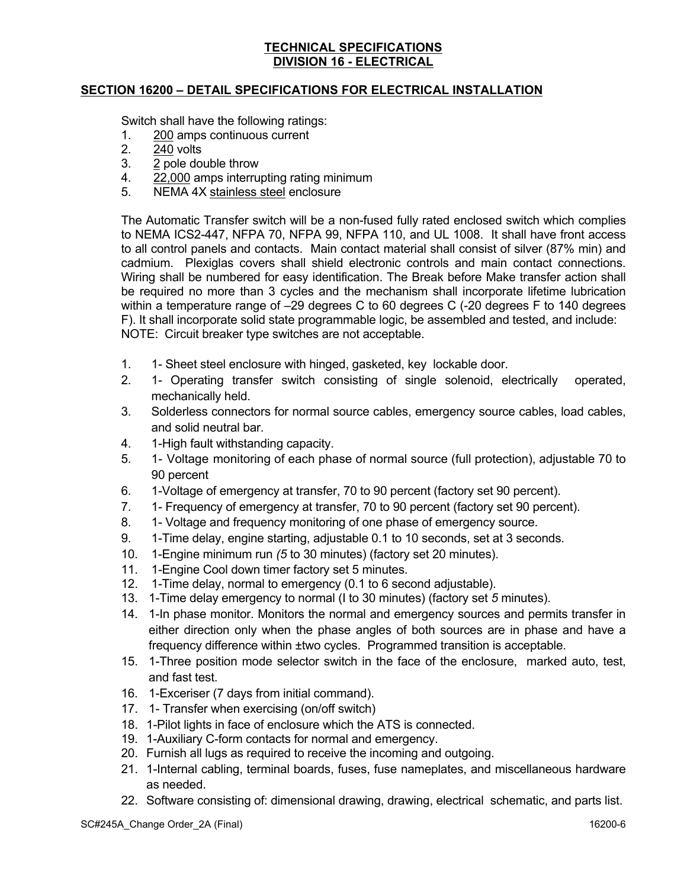## **SECTION 16200 – DETAIL SPECIFICATIONS FOR ELECTRICAL INSTALLATION**

Switch shall have the following ratings:

- 1. 200 amps continuous current
- 2. 240 volts
- 3. 2 pole double throw
- 4. 22,000 amps interrupting rating minimum
- 5. NEMA 4X stainless steel enclosure

The Automatic Transfer switch will be a non-fused fully rated enclosed switch which complies to NEMA ICS2-447, NFPA 70, NFPA 99, NFPA 110, and UL 1008. It shall have front access to all control panels and contacts. Main contact material shall consist of silver (87% min) and cadmium. Plexiglas covers shall shield electronic controls and main contact connections. Wiring shall be numbered for easy identification. The Break before Make transfer action shall be required no more than 3 cycles and the mechanism shall incorporate lifetime lubrication within a temperature range of –29 degrees C to 60 degrees C (-20 degrees F to 140 degrees F). It shall incorporate solid state programmable logic, be assembled and tested, and include: NOTE: Circuit breaker type switches are not acceptable.

- 1. 1- Sheet steel enclosure with hinged, gasketed, key lockable door.
- 2. 1- Operating transfer switch consisting of single solenoid, electrically operated, mechanically held.
- 3. Solderless connectors for normal source cables, emergency source cables, load cables, and solid neutral bar.
- 4. 1-High fault withstanding capacity.
- 5. 1- Voltage monitoring of each phase of normal source (full protection), adjustable 70 to 90 percent
- 6. 1-Voltage of emergency at transfer, 70 to 90 percent (factory set 90 percent).
- 7. 1- Frequency of emergency at transfer, 70 to 90 percent (factory set 90 percent).
- 8. 1- Voltage and frequency monitoring of one phase of emergency source.
- 9. 1-Time delay, engine starting, adjustable 0.1 to 10 seconds, set at 3 seconds.
- 10. 1-Engine minimum run *(5* to 30 minutes) (factory set 20 minutes).
- 11. 1-Engine Cool down timer factory set 5 minutes.
- 12. 1-Time delay, normal to emergency (0.1 to 6 second adjustable).
- 13. 1-Time delay emergency to normal (I to 30 minutes) (factory set *5* minutes).
- 14. 1-In phase monitor. Monitors the normal and emergency sources and permits transfer in either direction only when the phase angles of both sources are in phase and have a frequency difference within ±two cycles. Programmed transition is acceptable.
- 15. 1-Three position mode selector switch in the face of the enclosure, marked auto, test, and fast test.
- 16. 1-Exceriser (7 days from initial command).
- 17. 1- Transfer when exercising (on/off switch)
- 18. 1-Pilot lights in face of enclosure which the ATS is connected.
- 19. 1-Auxiliary C-form contacts for normal and emergency.
- 20. Furnish all lugs as required to receive the incoming and outgoing.
- 21. 1-Internal cabling, terminal boards, fuses, fuse nameplates, and miscellaneous hardware as needed.
- 22. Software consisting of: dimensional drawing, drawing, electrical schematic, and parts list.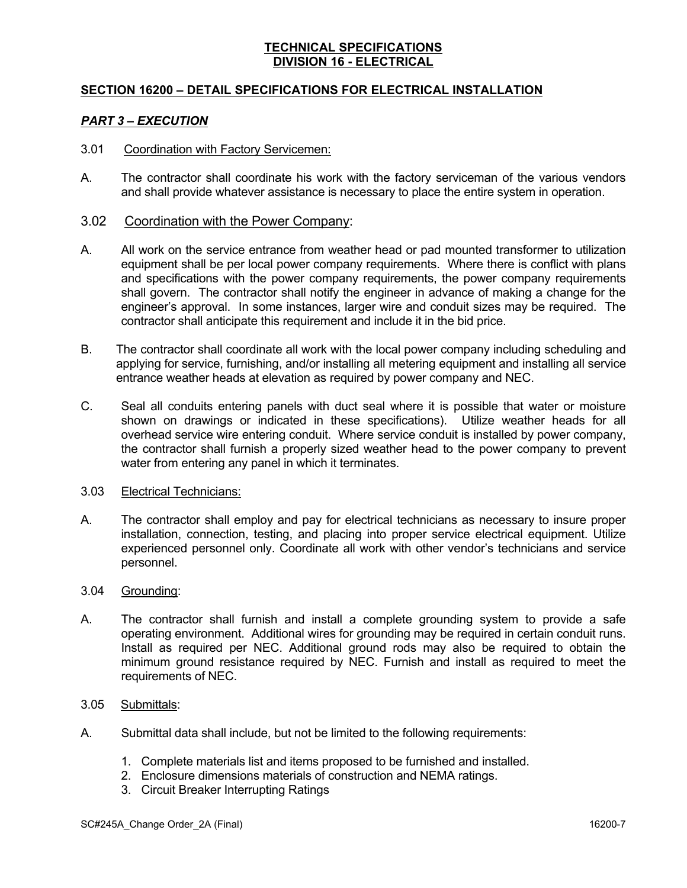## **SECTION 16200 – DETAIL SPECIFICATIONS FOR ELECTRICAL INSTALLATION**

#### *PART 3 – EXECUTION*

#### 3.01 Coordination with Factory Servicemen:

A. The contractor shall coordinate his work with the factory serviceman of the various vendors and shall provide whatever assistance is necessary to place the entire system in operation.

#### 3.02 Coordination with the Power Company:

- A. All work on the service entrance from weather head or pad mounted transformer to utilization equipment shall be per local power company requirements. Where there is conflict with plans and specifications with the power company requirements, the power company requirements shall govern. The contractor shall notify the engineer in advance of making a change for the engineer's approval. In some instances, larger wire and conduit sizes may be required. The contractor shall anticipate this requirement and include it in the bid price.
- B. The contractor shall coordinate all work with the local power company including scheduling and applying for service, furnishing, and/or installing all metering equipment and installing all service entrance weather heads at elevation as required by power company and NEC.
- C. Seal all conduits entering panels with duct seal where it is possible that water or moisture shown on drawings or indicated in these specifications). Utilize weather heads for all overhead service wire entering conduit. Where service conduit is installed by power company, the contractor shall furnish a properly sized weather head to the power company to prevent water from entering any panel in which it terminates.

#### 3.03 Electrical Technicians:

A. The contractor shall employ and pay for electrical technicians as necessary to insure proper installation, connection, testing, and placing into proper service electrical equipment. Utilize experienced personnel only. Coordinate all work with other vendor's technicians and service personnel.

#### 3.04 Grounding:

A. The contractor shall furnish and install a complete grounding system to provide a safe operating environment. Additional wires for grounding may be required in certain conduit runs. Install as required per NEC. Additional ground rods may also be required to obtain the minimum ground resistance required by NEC. Furnish and install as required to meet the requirements of NEC.

#### 3.05 Submittals:

- A. Submittal data shall include, but not be limited to the following requirements:
	- 1. Complete materials list and items proposed to be furnished and installed.
	- 2. Enclosure dimensions materials of construction and NEMA ratings.
	- 3. Circuit Breaker Interrupting Ratings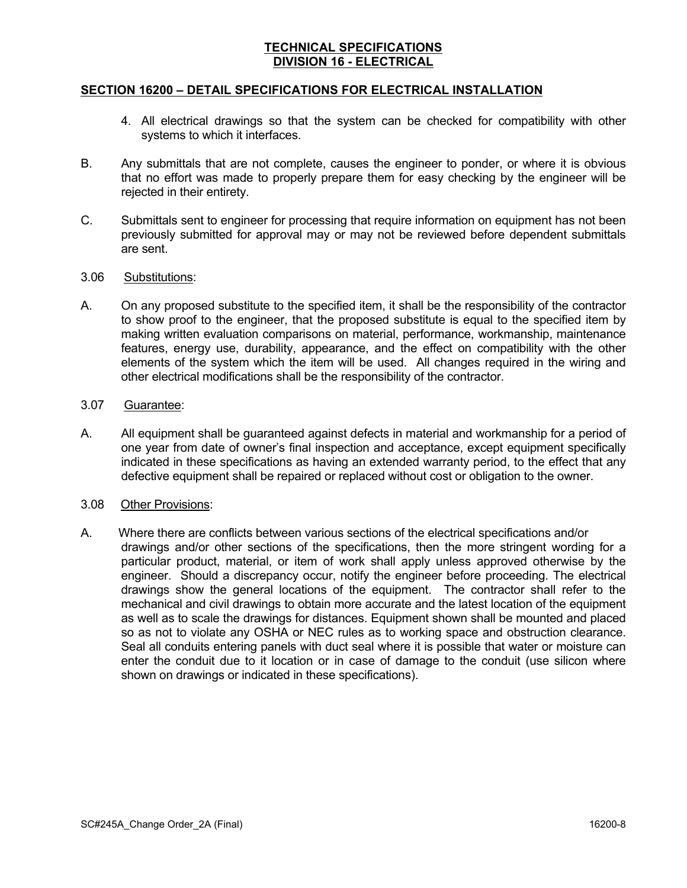### **SECTION 16200 – DETAIL SPECIFICATIONS FOR ELECTRICAL INSTALLATION**

- 4. All electrical drawings so that the system can be checked for compatibility with other systems to which it interfaces.
- B. Any submittals that are not complete, causes the engineer to ponder, or where it is obvious that no effort was made to properly prepare them for easy checking by the engineer will be rejected in their entirety.
- C. Submittals sent to engineer for processing that require information on equipment has not been previously submitted for approval may or may not be reviewed before dependent submittals are sent.

#### 3.06 Substitutions:

A. On any proposed substitute to the specified item, it shall be the responsibility of the contractor to show proof to the engineer, that the proposed substitute is equal to the specified item by making written evaluation comparisons on material, performance, workmanship, maintenance features, energy use, durability, appearance, and the effect on compatibility with the other elements of the system which the item will be used. All changes required in the wiring and other electrical modifications shall be the responsibility of the contractor.

#### 3.07 Guarantee:

A. All equipment shall be guaranteed against defects in material and workmanship for a period of one year from date of owner's final inspection and acceptance, except equipment specifically indicated in these specifications as having an extended warranty period, to the effect that any defective equipment shall be repaired or replaced without cost or obligation to the owner.

#### 3.08 Other Provisions:

A. Where there are conflicts between various sections of the electrical specifications and/or drawings and/or other sections of the specifications, then the more stringent wording for a particular product, material, or item of work shall apply unless approved otherwise by the engineer. Should a discrepancy occur, notify the engineer before proceeding. The electrical drawings show the general locations of the equipment. The contractor shall refer to the mechanical and civil drawings to obtain more accurate and the latest location of the equipment as well as to scale the drawings for distances. Equipment shown shall be mounted and placed so as not to violate any OSHA or NEC rules as to working space and obstruction clearance. Seal all conduits entering panels with duct seal where it is possible that water or moisture can enter the conduit due to it location or in case of damage to the conduit (use silicon where shown on drawings or indicated in these specifications).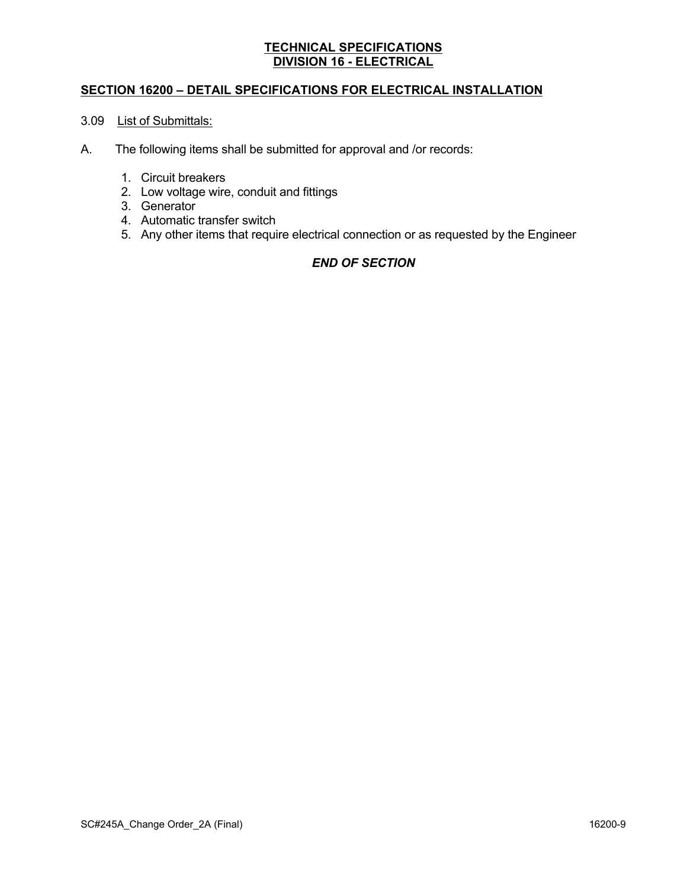## **SECTION 16200 – DETAIL SPECIFICATIONS FOR ELECTRICAL INSTALLATION**

# 3.09 List of Submittals:

- A. The following items shall be submitted for approval and /or records:
	- 1. Circuit breakers
	- 2. Low voltage wire, conduit and fittings
	- 3. Generator
	- 4. Automatic transfer switch
	- 5. Any other items that require electrical connection or as requested by the Engineer

### *END OF SECTION*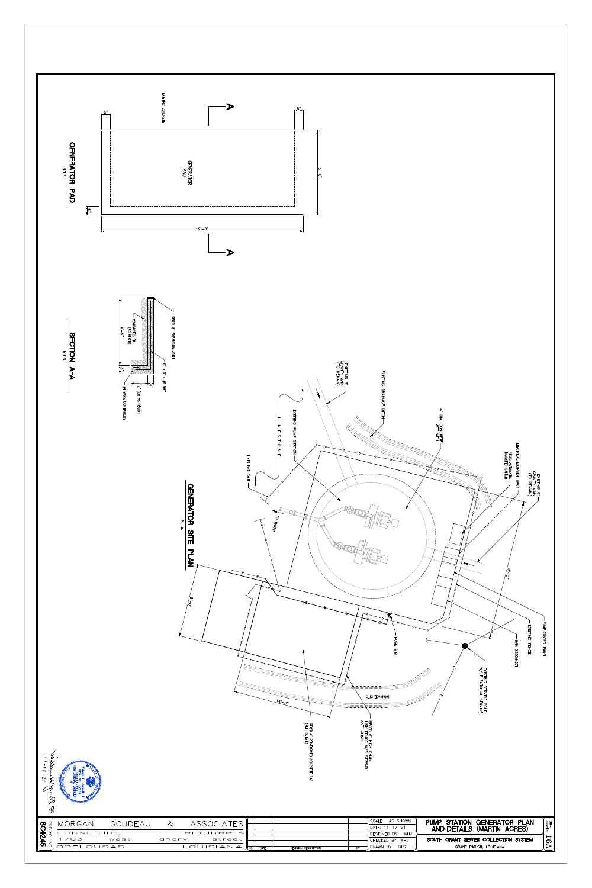

| $\sim$ 8<br>$-21$<br>Common Common |                      |         |        |                         |                   | REQ'D<br>(REF.<br>$4\frac{4}{\pi}$<br>ᆔ | DRAINAGE DITCH<br>ा<br>O<br><b>FENCE</b><br>HOMB | м<br>$\frac{1}{10}$                                         |  | ₹Š<br><b>HIRG</b><br>SHE<br>ころ<br>요                            | SNILSIX<br>$\blacksquare$<br>$\overline{6}$<br>$\overline{\phantom{0}}$<br>$\blacksquare$<br>ဂ<br><b>SAML</b><br>င | <b>CONTROL</b><br>ᅮ<br><b>ANEL</b> |
|------------------------------------|----------------------|---------|--------|-------------------------|-------------------|-----------------------------------------|--------------------------------------------------|-------------------------------------------------------------|--|----------------------------------------------------------------|--------------------------------------------------------------------------------------------------------------------|------------------------------------|
|                                    | MORGAN<br>consulting | GOUDEAU | $-\&$  | ASSOCIATES<br>engineers |                   |                                         |                                                  | SCALE: AS SHOWN<br>DATE: $11 - 17 - 21$<br>DESIGNED BY: WHJ |  | PUMP STATION GENERATOR PLAN<br>AND DETAILS (MARTIN ACRES)      |                                                                                                                    | SHEET<br>NUMBER                    |
| PROJECT NO.<br>SC#245              | 1703<br>OPELOUSAS    | west    | landry | street<br>$LOUISIAMAMM$ | $\overline{DATE}$ | REVISION DESCRIPTION                    | $\overline{BY}$                                  | CHECKED BY: WHJ<br>DRAWN BY: DLS                            |  | SOUTH GRANT SEWER COLLECTION SYSTEM<br>GRANT PARISH, LOUISIANA |                                                                                                                    | 16A                                |